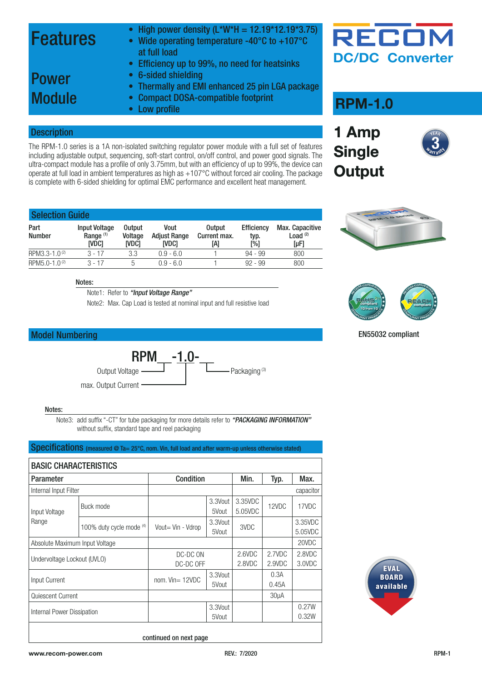### Features

- High power density  $(L*W*H = 12.19*12.19*3.75)$
- Wide operating temperature -40 $^{\circ}$ C to +107 $^{\circ}$ C at full load
- Efficiency up to 99%, no need for heatsinks

### Power **Module**

- 6-sided shielding • Thermally and EMI enhanced 25 pin LGA package
- Compact DOSA-compatible footprint
- Low profile

#### **Description**

The RPM-1.0 series is a 1A non-isolated switching regulator power module with a full set of features including adjustable output, sequencing, soft-start control, on/off control, and power good signals. The ultra-compact module has a profile of only 3.75mm, but with an efficiency of up to 99%, the device can operate at full load in ambient temperatures as high as +107°C without forced air cooling. The package is complete with 6-sided shielding for optimal EMC performance and excellent heat management.

| <b>DC/DC Converter</b> |
|------------------------|
|                        |

RECOI

### **RPM-1.0**

**1 Amp** 

**Single** 







EN55032 compliant

| <b>Selection Guide</b>    |                                                       |                                   |                                      |                                      |                                  |                                       |  |  |  |
|---------------------------|-------------------------------------------------------|-----------------------------------|--------------------------------------|--------------------------------------|----------------------------------|---------------------------------------|--|--|--|
| Part<br><b>Number</b>     | <b>Input Voltage</b><br>Range <sup>(1)</sup><br>ivdci | <b>Output</b><br>Voltage<br>ivdci | Vout<br><b>Adjust Range</b><br>IVDC1 | <b>Output</b><br>Current max.<br>[A] | <b>Efficiency</b><br>typ.<br>[%] | Max. Capacitive<br>Load $(2)$<br>[µF] |  |  |  |
| RPM3.3-1.0 <sup>(2)</sup> | $3 - 17$                                              | 3.3                               | $0.9 - 6.0$                          |                                      | $94 - 99$                        | 800                                   |  |  |  |
| RPM5.0-1.0 <sup>(2)</sup> | $3 - 17$                                              | 5                                 | $0.9 - 6.0$                          |                                      | $92 - 99$                        | 800                                   |  |  |  |
|                           |                                                       |                                   |                                      |                                      |                                  |                                       |  |  |  |

#### Notes:

Note1: Refer to *["Input Voltage Range"](#page-0-0)*

Note2: Max. Cap Load is tested at nominal input and full resistive load

#### Model Numbering



#### Notes:

Note3: add suffix "-CT" for tube packaging for more details refer to *["PACKAGING INFORMATION"](#page-8-0)* without suffix, standard tape and reel packaging

Specifications (measured @ Ta= 25°C, nom. Vin, full load and after warm-up unless otherwise stated)

<span id="page-0-0"></span>

| <b>BASIC CHARACTERISTICS</b>   |                          |                       |                  |                    |                   |                    |  |  |  |
|--------------------------------|--------------------------|-----------------------|------------------|--------------------|-------------------|--------------------|--|--|--|
| <b>Parameter</b>               |                          | Condition             |                  | Min.               | Typ.              | Max.               |  |  |  |
| Internal Input Filter          |                          |                       |                  |                    |                   | capacitor          |  |  |  |
| Input Voltage                  | Buck mode                |                       | 3.3Vout<br>5Vout | 3.35VDC<br>5.05VDC | 12VDC             | 17VDC              |  |  |  |
| Range                          | 100% duty cycle mode (4) | Vout= Vin - Vdrop     | 3.3Vout<br>5Vout | 3VDC               |                   | 3.35VDC<br>5.05VDC |  |  |  |
| Absolute Maximum Input Voltage |                          |                       |                  |                    |                   | 20VDC              |  |  |  |
| Undervoltage Lockout (UVLO)    |                          | DC-DC ON<br>DC-DC OFF |                  | 2.6VDC<br>2.8VDC   | 2.7VDC<br>2.9VDC  | 2.8VDC<br>3.0VDC   |  |  |  |
| Input Current                  |                          | nom. $Vin = 12VDC$    | 3.3Vout<br>5Vout |                    | 0.3A<br>0.45A     |                    |  |  |  |
| Quiescent Current              |                          |                       |                  |                    | 30 <sub>µ</sub> A |                    |  |  |  |
| Internal Power Dissipation     |                          |                       | 3.3Vout<br>5Vout |                    |                   | 0.27W<br>0.32W     |  |  |  |



continued on next page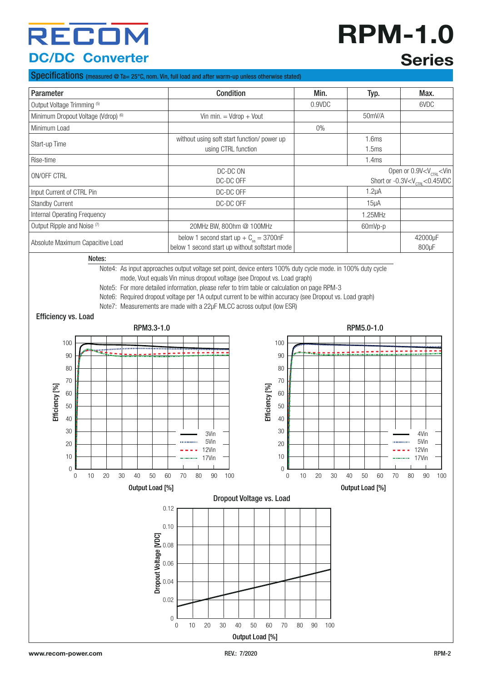# **RPM-1.0 Series**

#### Specifications (measured @ Ta= 25°C, nom. Vin, full load and after warm-up unless otherwise stated)

| Parameter                              | <b>Condition</b>                                                                              | Min.   | Typ.           | Max.                                                                                      |
|----------------------------------------|-----------------------------------------------------------------------------------------------|--------|----------------|-------------------------------------------------------------------------------------------|
| Output Voltage Trimming (5)            |                                                                                               | 0.9VDC |                | 6VDC                                                                                      |
| Minimum Dropout Voltage (Vdrop) (6)    | Vin min. $=$ Vdrop $+$ Vout                                                                   |        | 50mV/A         |                                                                                           |
| Minimum Load                           |                                                                                               | $0\%$  |                |                                                                                           |
| Start-up Time                          | without using soft start function/ power up<br>using CTRL function                            |        | 1.6ms<br>1.5ms |                                                                                           |
| Rise-time                              |                                                                                               |        | 1.4ms          |                                                                                           |
| ON/OFF CTRL                            | DC-DC ON<br>DC-DC OFF                                                                         |        |                | Open or $0.9V < V_{\text{CTRI}} < V$ in<br>Short or -0.3V <v<sub>CTRI &lt;0.45VDC</v<sub> |
| Input Current of CTRL Pin              | DC-DC OFF                                                                                     |        | $1.2\mu A$     |                                                                                           |
| <b>Standby Current</b>                 | DC-DC OFF                                                                                     |        | $15\mu$ A      |                                                                                           |
| Internal Operating Frequency           |                                                                                               |        | 1.25MHz        |                                                                                           |
| Output Ripple and Noise <sup>(7)</sup> | 20MHz BW, 800hm @ 100MHz                                                                      |        | 60mVp-p        |                                                                                           |
| Absolute Maximum Capacitive Load       | below 1 second start up + $C_{ss}$ = 3700nF<br>below 1 second start up without softstart mode |        |                | 42000µF<br>800 <sub>u</sub> F                                                             |

Notes:

Note4: As input approaches output voltage set point, device enters 100% duty cycle mode. in 100% duty cycle

mode, Vout equals Vin minus dropout voltage (see Dropout vs. Load graph)

Note5: For more detailed information, please refer to trim table or calculation on page RPM-3

Note6: Required dropout voltage per 1A output current to be within accuracy (see Dropout vs. Load graph)

Note7: Measurements are made with a 22µF MLCC across output (low ESR)

Efficiency vs. Load

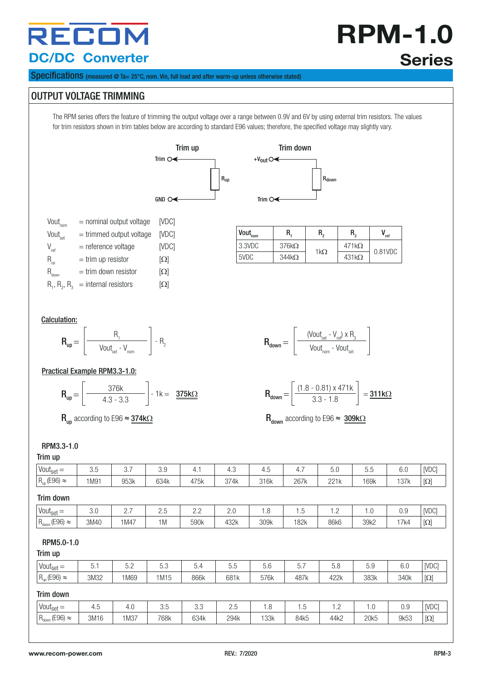**RPM-1.0 Series**

Specifications (measured @ Ta= 25°C, nom. Vin, full load and after warm-up unless otherwise stated)

#### OUTPUT VOLTAGE TRIMMING

The RPM series offers the feature of trimming the output voltage over a range between 0.9V and 6V by using external trim resistors. The values for trim resistors shown in trim tables below are according to standard E96 values; therefore, the specified voltage may slightly vary.





| $Vout_{\text{non}}$        | $=$ nominal output voltage           | <b>IVDCI</b> |
|----------------------------|--------------------------------------|--------------|
| Vout <sub>set</sub>        | $=$ trimmed output voltage           | <b>IVDCI</b> |
| $V_{ref}$                  | = reference voltage                  | [VDC]        |
| $R_{_{\text{up}}}$         | $=$ trim up resistor                 | $[\Omega]$   |
| $\mathsf{R}_{_{\sf down}}$ | $=$ trim down resistor               | $[\Omega]$   |
|                            | $R_1, R_2, R_3$ = internal resistors | $[\Omega]$   |

| $Vout_{nom}$ | R.           | R.          | R.           | ref     |
|--------------|--------------|-------------|--------------|---------|
| 3.3VDC       | $376k\Omega$ | 1k $\Omega$ | $471k\Omega$ | 0.81VDC |
| 5VDC         | $344k\Omega$ |             | $431k\Omega$ |         |

#### Calculation:



#### Practical Example RPM3.3-1.0:

$$
\mathbf{R}_{\mathsf{up}} = \left[\begin{array}{c}376\mathsf{k} \\ 4.3 \cdot 3.3\end{array}\right] \cdot 1\mathsf{k} = \begin{array}{c}375\mathsf{k}\Omega\end{array}
$$

|            | (Vout <sub>set</sub> - $V_{ref}$ ) x $R_3$ |  |
|------------|--------------------------------------------|--|
| $R_{down}$ | Vout <sub>nom</sub> - Vout <sub>set</sub>  |  |

$$
\mathbf{R}_{\text{down}} = \left[ \frac{(1.8 - 0.81) \times 471 \text{k}}{3.3 - 1.8} \right] = \frac{\mathbf{311 k} \Omega}{}
$$

 $R_{\text{up}}$  according to E96  $\approx$  374k $\Omega$  according to E96  $\approx$  309k $\Omega$ 

#### RPM3.3-1.0

#### Trim up

| $111111 \text{ up}$        |      |      |      |      |      |      |      |      |      |      |                                                                                                                                                                              |
|----------------------------|------|------|------|------|------|------|------|------|------|------|------------------------------------------------------------------------------------------------------------------------------------------------------------------------------|
| Vout $_{\text{set}} =$     | 3.5  | 3.7  | 3.9  | 4.1  | 4.3  | 4.5  | 4.7  | 5.0  | 5.5  | 6.0  | [VDC]                                                                                                                                                                        |
| $R_{up}$ (E96) $\approx$   | 1M91 | 953k | 634k | 475k | 374k | 316k | 267k | 221k | 169k | 137k | $[\Omega] % \centering \includegraphics[width=0.9\columnwidth]{figures/fig_10.pdf} \caption{The figure shows the number of parameters in the left and right.} \label{fig:2}$ |
| Trim down                  |      |      |      |      |      |      |      |      |      |      |                                                                                                                                                                              |
| $Vout_{set} =$             | 3.0  | 2.7  | 2.5  | 2.2  | 2.0  | 1.8  | 1.5  | 1.2  | 1.0  | 0.9  | [VDC]                                                                                                                                                                        |
| $R_{down}$ (E96) $\approx$ | 3M40 | 1M47 | 1M   | 590k | 432k | 309k | 182k | 86k6 | 39k2 | 17k4 | $[\Omega] % \centering \includegraphics[width=0.9\columnwidth]{figures/fig_10.pdf} \caption{The figure shows the number of parameters in the left and right.} \label{fig:2}$ |
| RPM5.0-1.0<br>Trim up      |      |      |      |      |      |      |      |      |      |      |                                                                                                                                                                              |
| $Vout_{set} =$             | 5.1  | 5.2  | 5.3  | 5.4  | 5.5  | 5.6  | 5.7  | 5.8  | 5.9  | 6.0  | [VDC]                                                                                                                                                                        |
| $R_{up}$ (E96) $\approx$   | 3M32 | 1M69 | 1M15 | 866k | 681k | 576k | 487k | 422k | 383k | 340k | $[\Omega] % \centering \includegraphics[width=0.9\columnwidth]{figures/fig_10.pdf} \caption{The figure shows the number of parameters in the left and right.} \label{fig:2}$ |

#### Trim down

| Vout <sub>set</sub>           | ⊃י ד | 1. J | $\sim$ $-$<br>u.u | $\cap$<br>u.u | $\sim$<br>ے ، ب<br>$\sim$ | ı.o  | ن. ا | $\cdot$ $\sim$ | $\cdot$ $\circ$ | 0.9  | [VDC]      |
|-------------------------------|------|------|-------------------|---------------|---------------------------|------|------|----------------|-----------------|------|------------|
| $R_{down}$ (E96)<br>$\approx$ | 3M16 | 1M37 | 768k              | 634k          | 294k                      | 133k | 84k5 | 44k2           | 20k5            | 9k53 | $[\Omega]$ |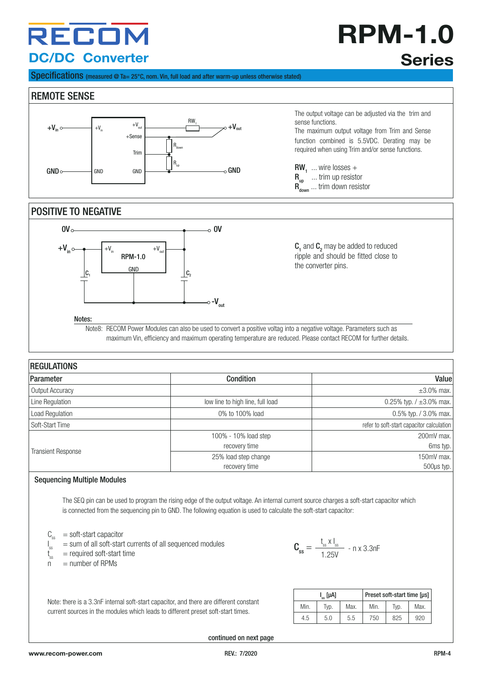## **RPM-1.0 Series**

Specifications (measured @ Ta= 25°C, nom. Vin, full load and after warm-up unless otherwise stated)

#### REMOTE SENSE



The output voltage can be adjusted via the trim and sense functions.

The maximum output voltage from Trim and Sense function combined is 5.5VDC. Derating may be required when using Trim and/or sense functions.

 $\text{RW}_1$  ... wire losses +  $R_{up}$  ... trim up resistor  $R_{down}^{up}$  ... trim down resistor

#### POSITIVE TO NEGATIVE



 $C_1$  and  $C_2$  may be added to reduced ripple and should be fitted close to the converter pins.

Notes:

Note8: RECOM Power Modules can also be used to convert a positive voltag into a negative voltage. Parameters such as maximum Vin, efficiency and maximum operating temperature are reduced. Please contact RECOM for further details.

| <b>REGULATIONS</b>        |                                  |                                           |
|---------------------------|----------------------------------|-------------------------------------------|
| Parameter                 | Condition                        | Value                                     |
| Output Accuracy           |                                  | $\pm 3.0\%$ max.                          |
| Line Regulation           | low line to high line, full load | 0.25% typ. $/ \pm 3.0$ % max.             |
| Load Regulation           | 0% to 100% load                  | 0.5% typ. / 3.0% max.                     |
| Soft-Start Time           |                                  | refer to soft-start capacitor calculation |
|                           | 100% - 10% load step             | 200mV max.                                |
|                           | recovery time                    | 6ms typ. $\vert$                          |
| <b>Transient Response</b> | 25% load step change             | 150mV max.                                |
|                           | recovery time                    | $500\mu s$ typ.                           |

#### Sequencing Multiple Modules

The SEQ pin can be used to program the rising edge of the output voltage. An internal current source charges a soft-start capacitor which is connected from the sequencing pin to GND. The following equation is used to calculate the soft-start capacitor:

- $C_{ss}$  = soft-start capacitor<br> $C_{ss}$  = sum of all soft-star
- $s =$  sum of all soft-start currents of all sequenced modules
- I t  $\int_{\text{ss}}^{\infty}$  = required soft-start time
- $=$  number of RPMs

 $\textbf{C}_{\text{ss}} = \frac{\textbf{t}_{\text{ss}} \times \textbf{I}_{\text{ss}}}{1.25 \text{V}}$  - n x 3.3nF

Note: there is a 3.3nF internal soft-start capacitor, and there are different constant current sources in the modules which leads to different preset soft-start times.

|      | l ( [μA] |      | Preset soft-start time [us] |      |      |  |
|------|----------|------|-----------------------------|------|------|--|
| Min. | Tvp.     | Max. | Min.                        | Tvp. | Max. |  |
| 4.5  | 5.0      | 5.5  | 750                         | 825  | 920  |  |

continued on next page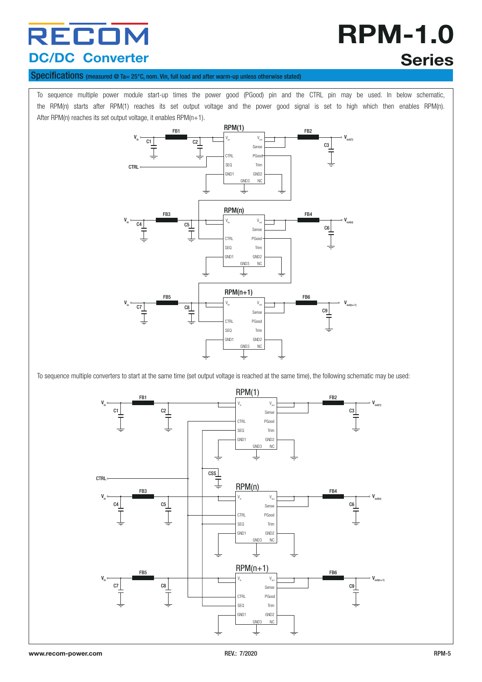# **RPM-1.0 Series**

#### Specifications (measured @ Ta= 25°C, nom. Vin, full load and after warm-up unless otherwise stated)

To sequence multiple power module start-up times the power good (PGood) pin and the CTRL pin may be used. In below schematic, the RPM(n) starts after RPM(1) reaches its set output voltage and the power good signal is set to high which then enables RPM(n). After RPM(n) reaches its set output voltage, it enables RPM(n+1).



To sequence multiple converters to start at the same time (set output voltage is reached at the same time), the following schematic may be used:

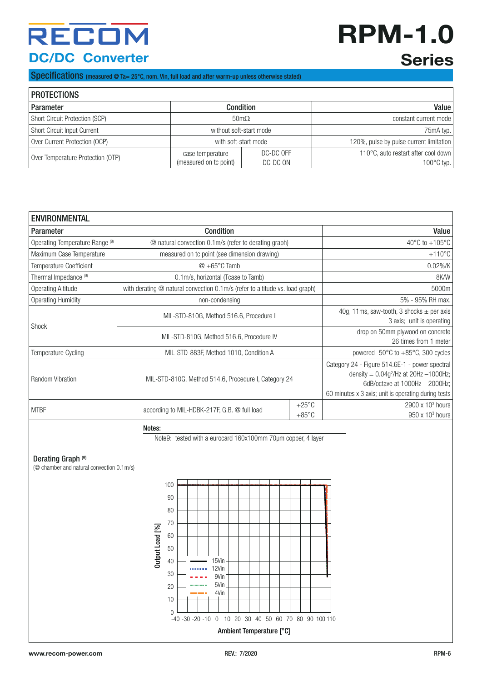# **RPM-1.0 Series**

Specifications (measured @ Ta= 25°C, nom. Vin, full load and after warm-up unless otherwise stated)

| <b>PROTECTIONS</b>                |                                            |                         |                                                             |  |  |  |  |  |  |
|-----------------------------------|--------------------------------------------|-------------------------|-------------------------------------------------------------|--|--|--|--|--|--|
| Parameter                         | <b>Condition</b>                           | Value                   |                                                             |  |  |  |  |  |  |
| Short Circuit Protection (SCP)    |                                            | $50 \text{m}\Omega$     | constant current mode                                       |  |  |  |  |  |  |
| Short Circuit Input Current       |                                            | without soft-start mode | 75mA typ.                                                   |  |  |  |  |  |  |
| Over Current Protection (OCP)     |                                            | with soft-start mode    | 120%, pulse by pulse current limitation                     |  |  |  |  |  |  |
| Over Temperature Protection (OTP) | case temperature<br>(measured on tc point) | DC-DC OFF<br>DC-DC ON   | 110°C, auto restart after cool down<br>$100^{\circ}$ C typ. |  |  |  |  |  |  |

| <b>ENVIRONMENTAL</b>             |                                                                              |                                                                            |                                                                                                                                                                                            |  |  |  |
|----------------------------------|------------------------------------------------------------------------------|----------------------------------------------------------------------------|--------------------------------------------------------------------------------------------------------------------------------------------------------------------------------------------|--|--|--|
| <b>Parameter</b>                 | Condition                                                                    | Value                                                                      |                                                                                                                                                                                            |  |  |  |
| Operating Temperature Range (9)  | @ natural convection 0.1m/s (refer to derating graph)                        | -40 $^{\circ}$ C to +105 $^{\circ}$ C                                      |                                                                                                                                                                                            |  |  |  |
| Maximum Case Temperature         | measured on tc point (see dimension drawing)                                 | $+110^{\circ}$ C                                                           |                                                                                                                                                                                            |  |  |  |
| <b>Temperature Coefficient</b>   | $@ + 65°C$ Tamb                                                              | $0.02\%$ /K                                                                |                                                                                                                                                                                            |  |  |  |
| Thermal Impedance <sup>(9)</sup> | 0.1m/s, horizontal (Tcase to Tamb)                                           | 8K/W                                                                       |                                                                                                                                                                                            |  |  |  |
| Operating Altitude               | with derating @ natural convection 0.1m/s (refer to altitude vs. load graph) | 5000m                                                                      |                                                                                                                                                                                            |  |  |  |
| <b>Operating Humidity</b>        | non-condensing                                                               |                                                                            | 5% - 95% RH max.                                                                                                                                                                           |  |  |  |
| <b>Shock</b>                     | MIL-STD-810G, Method 516.6, Procedure I                                      | 40g, 11ms, saw-tooth, 3 shocks $\pm$ per axis<br>3 axis; unit is operating |                                                                                                                                                                                            |  |  |  |
|                                  | MIL-STD-810G, Method 516.6, Procedure IV                                     | drop on 50mm plywood on concrete<br>26 times from 1 meter                  |                                                                                                                                                                                            |  |  |  |
| <b>Temperature Cycling</b>       | MIL-STD-883F, Method 1010, Condition A                                       | powered -50 $\degree$ C to +85 $\degree$ C, 300 cycles                     |                                                                                                                                                                                            |  |  |  |
| Random Vibration                 | MIL-STD-810G, Method 514.6, Procedure I, Category 24                         |                                                                            | Category 24 - Figure 514.6E-1 - power spectral<br>density = $0.04g^{2}/Hz$ at 20Hz -1000Hz;<br>-6dB/octave at $1000$ Hz $-$ 2000Hz;<br>60 minutes x 3 axis; unit is operating during tests |  |  |  |
| <b>MTBF</b>                      | according to MIL-HDBK-217F, G.B. @ full load                                 | $+25^{\circ}$ C<br>$+85^{\circ}$ C                                         | $2900 \times 10^3$ hours<br>$950 \times 10^3$ hours                                                                                                                                        |  |  |  |

Notes:

Note9: tested with a eurocard 160x100mm 70µm copper, 4 layer

#### Derating Graph<sup>(9)</sup>

(@ chamber and natural convection 0.1m/s)

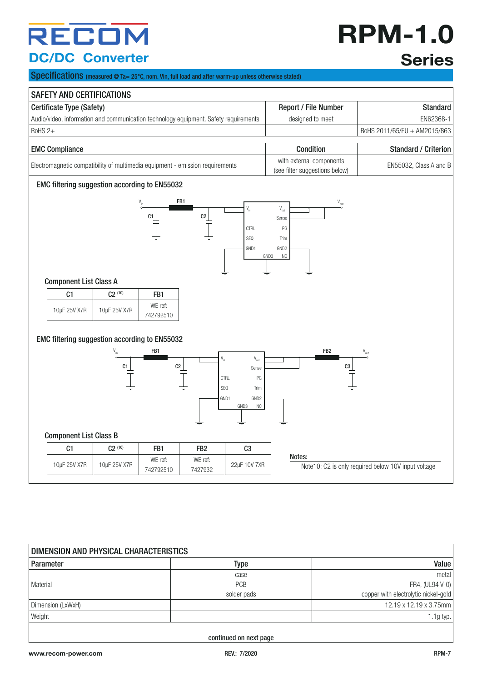## **RPM-1.0 Series**

Specifications (measured @ Ta= 25°C, nom. Vin, full load and after warm-up unless otherwise stated)

| <b>SAFETY AND CERTIFICATIONS</b>                                                     |              |                      |                                                            |                                                                                                                                                         |                                                                                                                     |                                                     |
|--------------------------------------------------------------------------------------|--------------|----------------------|------------------------------------------------------------|---------------------------------------------------------------------------------------------------------------------------------------------------------|---------------------------------------------------------------------------------------------------------------------|-----------------------------------------------------|
| Certificate Type (Safety)                                                            |              |                      |                                                            | Report / File Number                                                                                                                                    | <b>Standard</b>                                                                                                     |                                                     |
| Audio/video, information and communication technology equipment. Safety requirements |              |                      | designed to meet                                           | EN62368-1                                                                                                                                               |                                                                                                                     |                                                     |
| RoHS <sub>2+</sub>                                                                   |              |                      |                                                            |                                                                                                                                                         |                                                                                                                     | RoHS 2011/65/EU + AM2015/863                        |
| <b>EMC Compliance</b>                                                                |              |                      | Condition                                                  | <b>Standard / Criterion</b>                                                                                                                             |                                                                                                                     |                                                     |
| Electromagnetic compatibility of multimedia equipment - emission requirements        |              |                      | with external components<br>(see filter suggestions below) | EN55032, Class A and B                                                                                                                                  |                                                                                                                     |                                                     |
| EMC filtering suggestion according to EN55032                                        |              |                      |                                                            |                                                                                                                                                         |                                                                                                                     |                                                     |
|                                                                                      |              | C1                   | FB1<br>C <sub>2</sub>                                      | $\mathsf{V}_{\mathsf{in}}$<br><b>CTRL</b><br>SEQ<br>GND1                                                                                                | $\mathsf{V}_{\mathsf{out}}$<br>$\mathsf{V}_{\mathsf{out}}$<br>Sense<br>PG<br>Trim<br>GND <sub>2</sub><br>GND3<br>NC |                                                     |
| <b>Component List Class A</b>                                                        |              |                      |                                                            |                                                                                                                                                         | ≑                                                                                                                   |                                                     |
| C1                                                                                   | $C2^{(10)}$  | FB1                  |                                                            |                                                                                                                                                         |                                                                                                                     |                                                     |
| 10µF 25V X7R                                                                         | 10µF 25V X7R | WE ref:<br>742792510 |                                                            |                                                                                                                                                         |                                                                                                                     |                                                     |
| EMC filtering suggestion according to EN55032                                        | C1           | FB1<br>C2            |                                                            | $\mathsf{V}_{\mathsf{in}}$<br>$\mathsf{V}_{\mathsf{out}}$<br>Sense<br><b>CTRL</b><br>PG<br>$\sf{SEQ}$<br>Trim<br>GND <sub>2</sub><br>GND1<br>GND3<br>NC | FB <sub>2</sub><br>C3                                                                                               | $\mathsf{V}_{\mathsf{out}}$                         |
| <b>Component List Class B</b>                                                        |              |                      |                                                            |                                                                                                                                                         |                                                                                                                     |                                                     |
| C1                                                                                   | $C2^{(10)}$  | FB1                  | FB <sub>2</sub>                                            | C <sub>3</sub>                                                                                                                                          | Notes:                                                                                                              |                                                     |
| 10µF 25V X7R                                                                         | 10µF 25V X7R | WE ref:<br>742792510 | WE ref:<br>7427932                                         | 22µF 10V 7XR                                                                                                                                            |                                                                                                                     | Note10: C2 is only required below 10V input voltage |

| DIMENSION AND PHYSICAL CHARACTERISTICS |             |                                      |  |  |
|----------------------------------------|-------------|--------------------------------------|--|--|
| Parameter                              | Type        | Value                                |  |  |
|                                        | case        | metal                                |  |  |
| Material                               | <b>PCB</b>  | FR4, (UL94 V-0)                      |  |  |
|                                        | solder pads | copper with electrolytic nickel-gold |  |  |
| Dimension (LxWxH)                      |             | 12.19 x 12.19 x 3.75mm               |  |  |
| Weight                                 |             | 1.1g typ. $ $                        |  |  |
|                                        |             |                                      |  |  |

continued on next page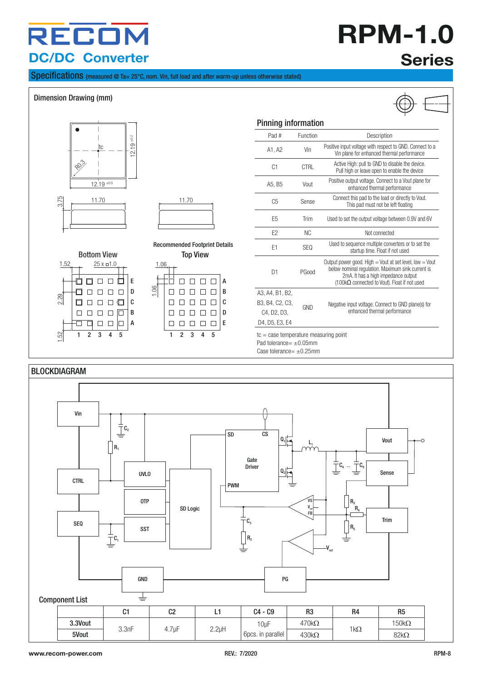## **RPM-1.0 Series**

Specifications (measured @ Ta= 25°C, nom. Vin, full load and after warm-up unless otherwise stated)

#### Dimension Drawing (mm)



 $tc = case$  temperature measuring point Pad tolerance=  $\pm 0.05$ mm Case tolerance=  $+0.25$ mm